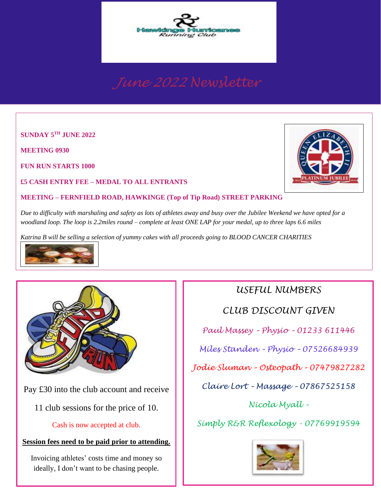

**SUNDAY 5 TH JUNE 2022**

**MEETING 0930**

**FUN RUN STARTS 1000**

**£5 CASH ENTRY FEE – MEDAL TO ALL ENTRANTS**

#### **MEETING – FERNFIELD ROAD, HAWKINGE (Top of Tip Road) STREET PARKING**

 *woodland loop. The loop is 2.2miles round – complete at least ONE LAP for your medal, up to three laps 6.6 miles Due to difficulty with marshaling and safety as lots of athletes away and busy over the Jubilee Weekend we have opted for a* 

*Katrina B will be selling a selection of yummy cakes with all proceeds going to BLOOD CANCER CHARITIES* 





Pay £30 into the club account and receive

11 club sessions for the price of 10.

Cash is now accepted at club.

### **Session fees need to be paid prior to attending.**

Invoicing athletes' costs time and money so ideally, I don't want to be chasing people.

# *USEFUL NUMBERS*

*CLUB DISCOUNT GIVEN*

*Paul Massey – Physio – 01233 611446*

*Miles Standen – Physio – 07526684939*

*Jodie Sluman – Osteopath – 07479827282*

*Claire Lort – Massage – 07867525158*

*Nicola Myall –*

*Simply R&R Reflexology - 07769919594*